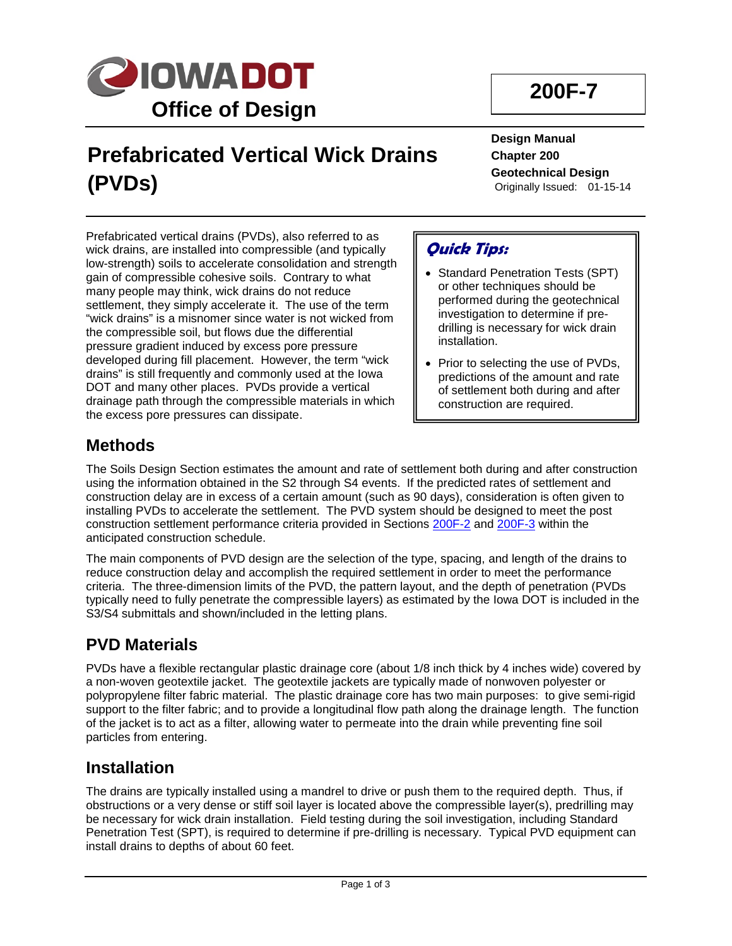

# **Prefabricated Vertical Wick Drains (PVDs)**

**Design Manual Chapter 200 Geotechnical Design** Originally Issued: 01-15-14

Prefabricated vertical drains (PVDs), also referred to as wick drains, are installed into compressible (and typically low-strength) soils to accelerate consolidation and strength gain of compressible cohesive soils. Contrary to what many people may think, wick drains do not reduce settlement, they simply accelerate it. The use of the term "wick drains" is a misnomer since water is not wicked from the compressible soil, but flows due the differential pressure gradient induced by excess pore pressure developed during fill placement. However, the term "wick drains" is still frequently and commonly used at the Iowa DOT and many other places. PVDs provide a vertical drainage path through the compressible materials in which the excess pore pressures can dissipate.

## **Quick Tips:**

- Standard Penetration Tests (SPT) or other techniques should be performed during the geotechnical investigation to determine if predrilling is necessary for wick drain installation.
- Prior to selecting the use of PVDs, predictions of the amount and rate of settlement both during and after construction are required.

### **Methods**

The Soils Design Section estimates the amount and rate of settlement both during and after construction using the information obtained in the S2 through S4 events. If the predicted rates of settlement and construction delay are in excess of a certain amount (such as 90 days), consideration is often given to installing PVDs to accelerate the settlement. The PVD system should be designed to meet the post construction settlement performance criteria provided in Sections 200F-2 and 200F-3 within the anticipated construction schedule.

The main components of PVD design are the selection of the type, spacing, and length of the drains to reduce construction delay and accomplish the required settlement in order to meet the performance criteria. The three-dimension limits of the PVD, the pattern layout, and the depth of penetration (PVDs typically need to fully penetrate the compressible layers) as estimated by the Iowa DOT is included in the S<sub>3</sub>/S<sub>4</sub> submittals and shown/included in the letting plans.

### **PVD Materials**

PVDs have a flexible rectangular plastic drainage core (about 1/8 inch thick by 4 inches wide) covered by a non-woven geotextile jacket. The geotextile jackets are typically made of nonwoven polyester or polypropylene filter fabric material. The plastic drainage core has two main purposes: to give semi-rigid support to the filter fabric; and to provide a longitudinal flow path along the drainage length. The function of the jacket is to act as a filter, allowing water to permeate into the drain while preventing fine soil particles from entering.

### **Installation**

The drains are typically installed using a mandrel to drive or push them to the required depth. Thus, if obstructions or a very dense or stiff soil layer is located above the compressible layer(s), predrilling may be necessary for wick drain installation. Field testing during the soil investigation, including Standard Penetration Test (SPT), is required to determine if pre-drilling is necessary. Typical PVD equipment can install drains to depths of about 60 feet.

## **200F-7**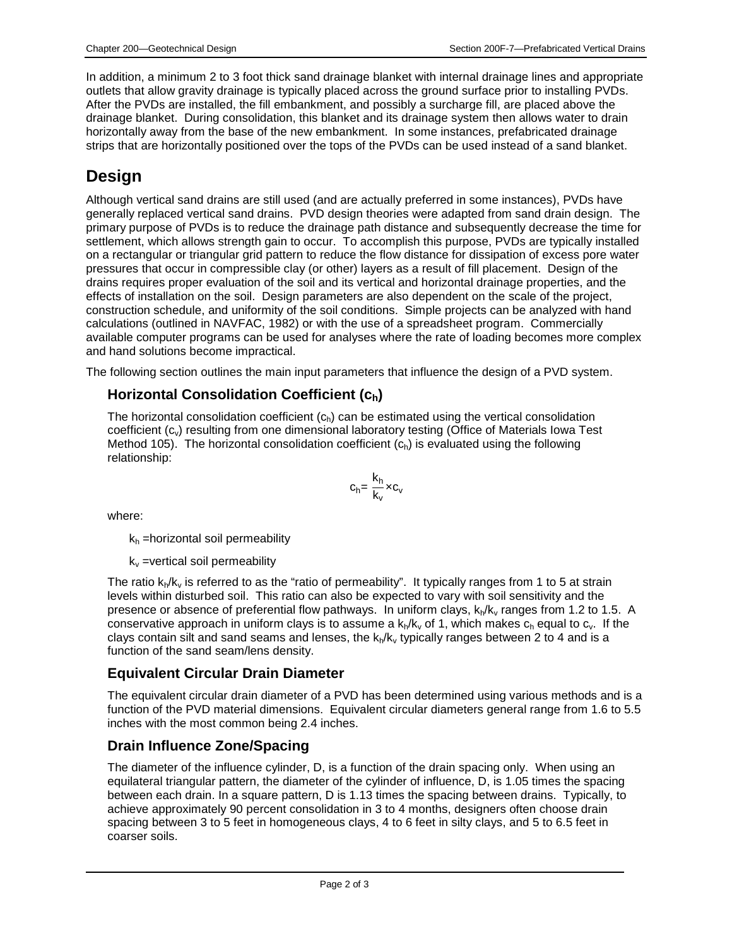In addition, a minimum 2 to 3 foot thick sand drainage blanket with internal drainage lines and appropriate outlets that allow gravity drainage is typically placed across the ground surface prior to installing PVDs. After the PVDs are installed, the fill embankment, and possibly a surcharge fill, are placed above the drainage blanket. During consolidation, this blanket and its drainage system then allows water to drain horizontally away from the base of the new embankment. In some instances, prefabricated drainage strips that are horizontally positioned over the tops of the PVDs can be used instead of a sand blanket.

## **Design**

Although vertical sand drains are still used (and are actually preferred in some instances), PVDs have generally replaced vertical sand drains. PVD design theories were adapted from sand drain design. The primary purpose of PVDs is to reduce the drainage path distance and subsequently decrease the time for settlement, which allows strength gain to occur. To accomplish this purpose, PVDs are typically installed on a rectangular or triangular grid pattern to reduce the flow distance for dissipation of excess pore water pressures that occur in compressible clay (or other) layers as a result of fill placement. Design of the drains requires proper evaluation of the soil and its vertical and horizontal drainage properties, and the effects of installation on the soil. Design parameters are also dependent on the scale of the project, construction schedule, and uniformity of the soil conditions. Simple projects can be analyzed with hand calculations (outlined in NAVFAC, 1982) or with the use of a spreadsheet program. Commercially available computer programs can be used for analyses where the rate of loading becomes more complex and hand solutions become impractical.

The following section outlines the main input parameters that influence the design of a PVD system.

#### **Horizontal Consolidation Coefficient (ch)**

The horizontal consolidation coefficient  $(c<sub>h</sub>)$  can be estimated using the vertical consolidation coefficient  $(c_{v})$  resulting from one dimensional laboratory testing (Office of Materials Iowa Test Method 105). The horizontal consolidation coefficient  $(c<sub>h</sub>)$  is evaluated using the following relationship:



where:

 $k_h$  =horizontal soil permeability

 $k_v$  =vertical soil permeability

The ratio  $k_p/k_v$  is referred to as the "ratio of permeability". It typically ranges from 1 to 5 at strain levels within disturbed soil. This ratio can also be expected to vary with soil sensitivity and the presence or absence of preferential flow pathways. In uniform clays,  $k_h/k_v$  ranges from 1.2 to 1.5. A conservative approach in uniform clays is to assume a  $k_p/k_v$  of 1, which makes  $c_p$  equal to  $c_v$ . If the clays contain silt and sand seams and lenses, the  $k_h/k_v$  typically ranges between 2 to 4 and is a function of the sand seam/lens density.

#### **Equivalent Circular Drain Diameter**

The equivalent circular drain diameter of a PVD has been determined using various methods and is a function of the PVD material dimensions. Equivalent circular diameters general range from 1.6 to 5.5 inches with the most common being 2.4 inches.

#### **Drain Influence Zone/Spacing**

The diameter of the influence cylinder, D, is a function of the drain spacing only. When using an equilateral triangular pattern, the diameter of the cylinder of influence, D, is 1.05 times the spacing between each drain. In a square pattern, D is 1.13 times the spacing between drains. Typically, to achieve approximately 90 percent consolidation in 3 to 4 months, designers often choose drain spacing between 3 to 5 feet in homogeneous clays, 4 to 6 feet in silty clays, and 5 to 6.5 feet in coarser soils.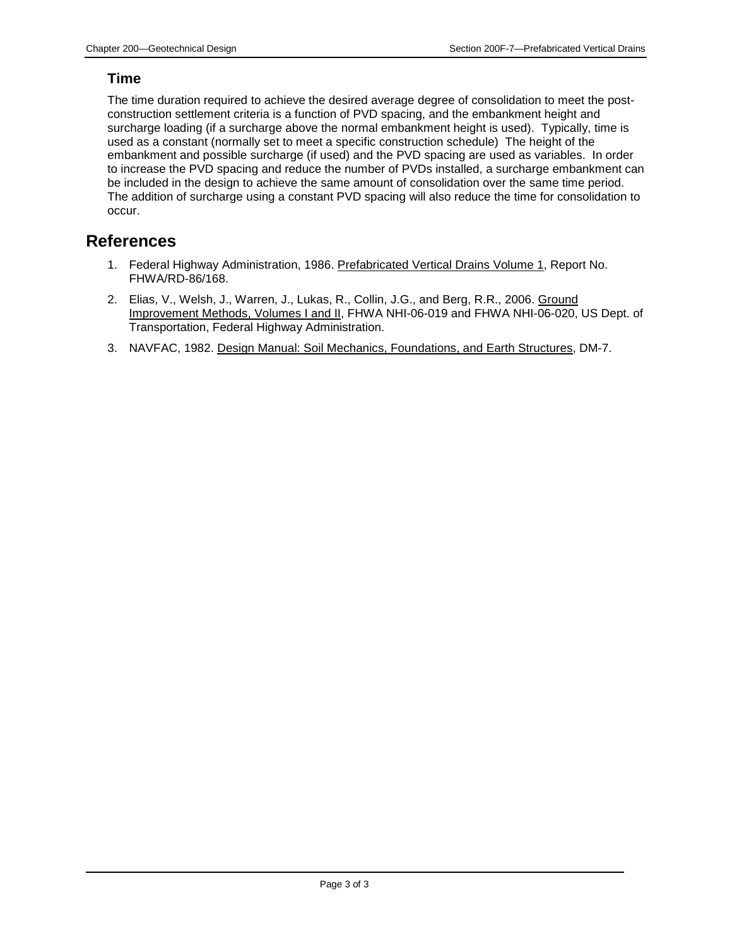#### **Time**

The time duration required to achieve the desired average degree of consolidation to meet the postconstruction settlement criteria is a function of PVD spacing, and the embankment height and surcharge loading (if a surcharge above the normal embankment height is used). Typically, time is used as a constant (normally set to meet a specific construction schedule) The height of the embankment and possible surcharge (if used) and the PVD spacing are used as variables. In order to increase the PVD spacing and reduce the number of PVDs installed, a surcharge embankment can be included in the design to achieve the same amount of consolidation over the same time period. The addition of surcharge using a constant PVD spacing will also reduce the time for consolidation to occur.

#### **References**

- 1. Federal Highway Administration, 1986. Prefabricated Vertical Drains Volume 1, Report No. FHWA/RD-86/168.
- 2. Elias, V., Welsh, J., Warren, J., Lukas, R., Collin, J.G., and Berg, R.R., 2006. Ground Improvement Methods, Volumes I and II, FHWA NHI-06-019 and FHWA NHI-06-020, US Dept. of Transportation, Federal Highway Administration.
- 3. NAVFAC, 1982. Design Manual: Soil Mechanics, Foundations, and Earth Structures, DM-7.